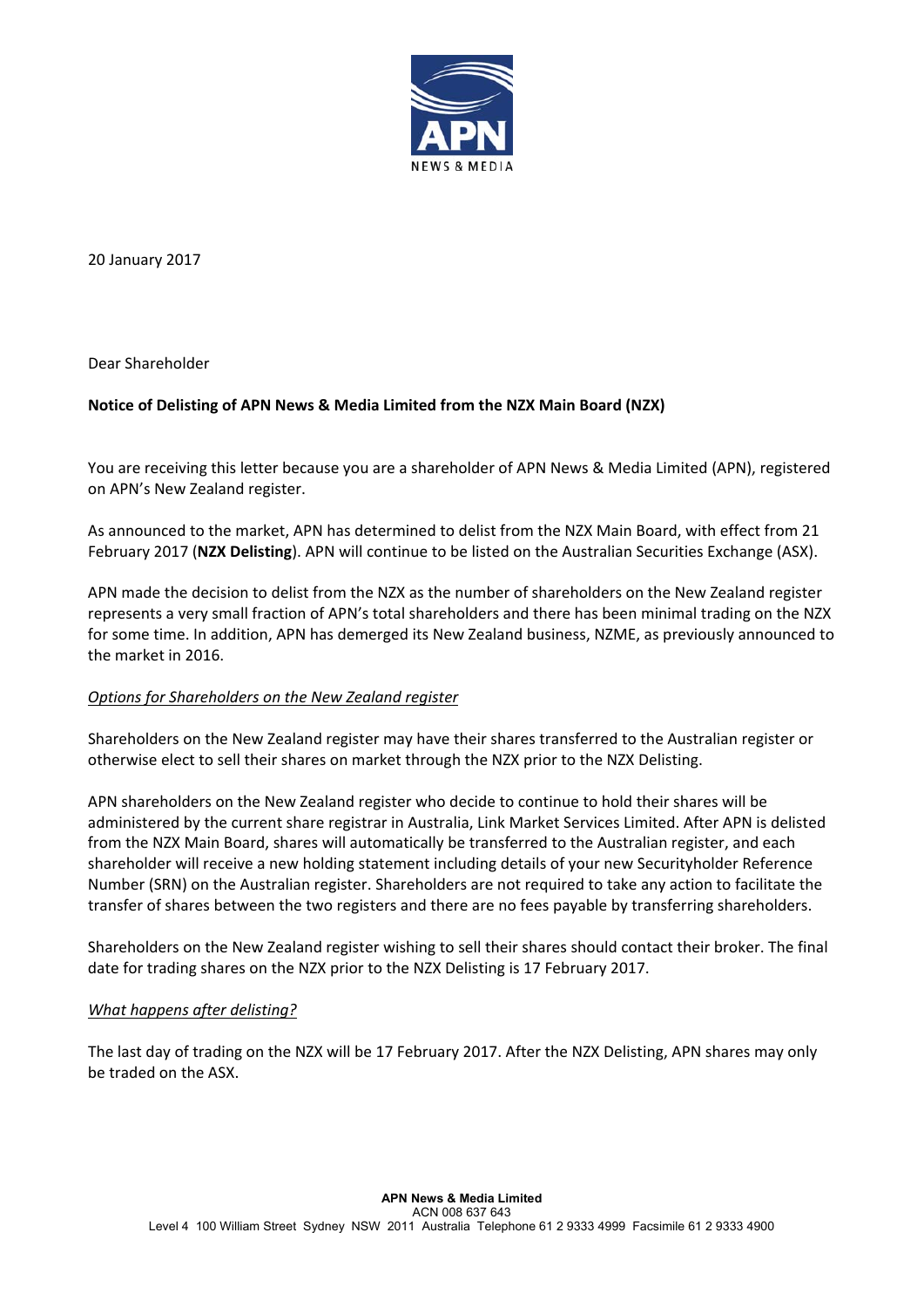

20 January 2017

Dear Shareholder

# **Notice of Delisting of APN News & Media Limited from the NZX Main Board (NZX)**

You are receiving this letter because you are a shareholder of APN News & Media Limited (APN), registered on APN's New Zealand register.

As announced to the market, APN has determined to delist from the NZX Main Board, with effect from 21 February 2017 (**NZX Delisting**). APN will continue to be listed on the Australian Securities Exchange (ASX).

APN made the decision to delist from the NZX as the number of shareholders on the New Zealand register represents a very small fraction of APN's total shareholders and there has been minimal trading on the NZX for some time. In addition, APN has demerged its New Zealand business, NZME, as previously announced to the market in 2016.

### *Options for Shareholders on the New Zealand register*

Shareholders on the New Zealand register may have their shares transferred to the Australian register or otherwise elect to sell their shares on market through the NZX prior to the NZX Delisting.

APN shareholders on the New Zealand register who decide to continue to hold their shares will be administered by the current share registrar in Australia, Link Market Services Limited. After APN is delisted from the NZX Main Board, shares will automatically be transferred to the Australian register, and each shareholder will receive a new holding statement including details of your new Securityholder Reference Number (SRN) on the Australian register. Shareholders are not required to take any action to facilitate the transfer of shares between the two registers and there are no fees payable by transferring shareholders.

Shareholders on the New Zealand register wishing to sell their shares should contact their broker. The final date for trading shares on the NZX prior to the NZX Delisting is 17 February 2017.

### *What happens after delisting?*

The last day of trading on the NZX will be 17 February 2017. After the NZX Delisting, APN shares may only be traded on the ASX.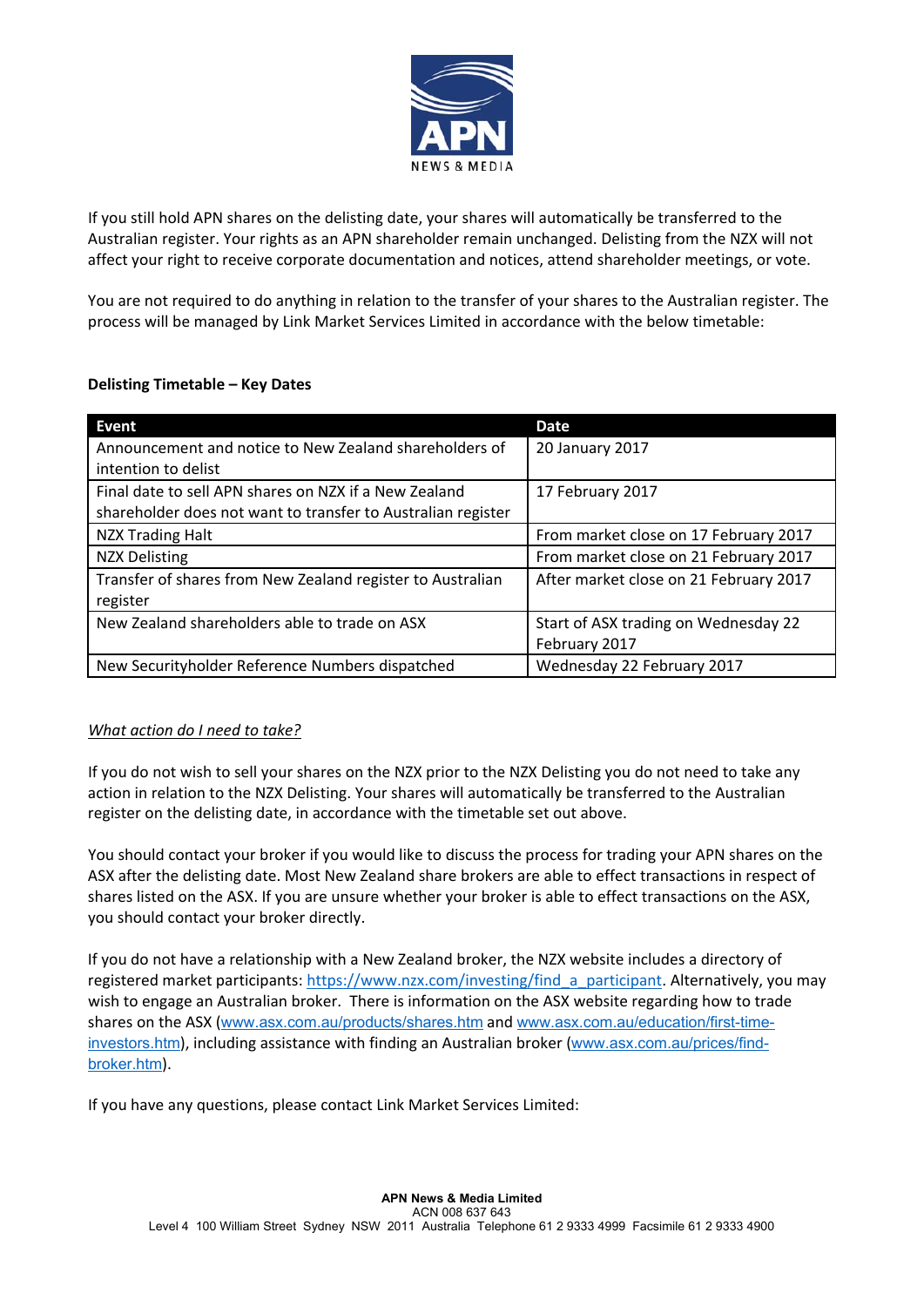

If you still hold APN shares on the delisting date, your shares will automatically be transferred to the Australian register. Your rights as an APN shareholder remain unchanged. Delisting from the NZX will not affect your right to receive corporate documentation and notices, attend shareholder meetings, or vote.

You are not required to do anything in relation to the transfer of your shares to the Australian register. The process will be managed by Link Market Services Limited in accordance with the below timetable:

# **Delisting Timetable – Key Dates**

| Event                                                                                                                 | Date                                                  |
|-----------------------------------------------------------------------------------------------------------------------|-------------------------------------------------------|
| Announcement and notice to New Zealand shareholders of<br>intention to delist                                         | 20 January 2017                                       |
| Final date to sell APN shares on NZX if a New Zealand<br>shareholder does not want to transfer to Australian register | 17 February 2017                                      |
| <b>NZX Trading Halt</b>                                                                                               | From market close on 17 February 2017                 |
| <b>NZX Delisting</b>                                                                                                  | From market close on 21 February 2017                 |
| Transfer of shares from New Zealand register to Australian<br>register                                                | After market close on 21 February 2017                |
| New Zealand shareholders able to trade on ASX                                                                         | Start of ASX trading on Wednesday 22<br>February 2017 |
| New Securityholder Reference Numbers dispatched                                                                       | Wednesday 22 February 2017                            |

# *What action do I need to take?*

If you do not wish to sell your shares on the NZX prior to the NZX Delisting you do not need to take any action in relation to the NZX Delisting. Your shares will automatically be transferred to the Australian register on the delisting date, in accordance with the timetable set out above.

You should contact your broker if you would like to discuss the process for trading your APN shares on the ASX after the delisting date. Most New Zealand share brokers are able to effect transactions in respect of shares listed on the ASX. If you are unsure whether your broker is able to effect transactions on the ASX, you should contact your broker directly.

If you do not have a relationship with a New Zealand broker, the NZX website includes a directory of registered market participants: https://www.nzx.com/investing/find\_a\_participant. Alternatively, you may wish to engage an Australian broker. There is information on the ASX website regarding how to trade shares on the ASX (www.asx.com.au/products/shares.htm and www.asx.com.au/education/first-timeinvestors.htm), including assistance with finding an Australian broker (www.asx.com.au/prices/findbroker.htm).

If you have any questions, please contact Link Market Services Limited: